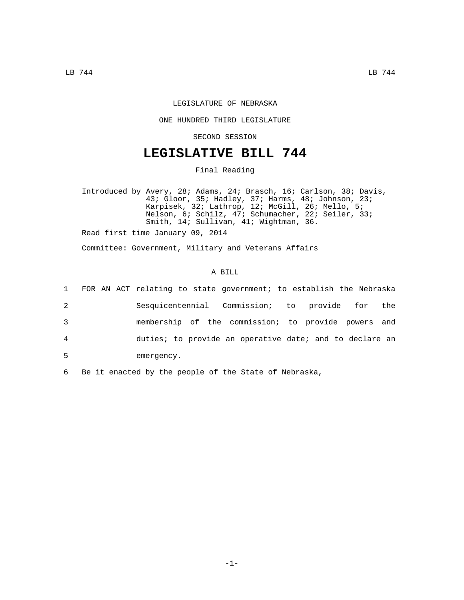## LEGISLATURE OF NEBRASKA

### ONE HUNDRED THIRD LEGISLATURE

SECOND SESSION

# **LEGISLATIVE BILL 744**

Final Reading

Introduced by Avery, 28; Adams, 24; Brasch, 16; Carlson, 38; Davis, 43; Gloor, 35; Hadley, 37; Harms, 48; Johnson, 23; Karpisek, 32; Lathrop, 12; McGill, 26; Mello, 5; Nelson, 6; Schilz, 47; Schumacher, 22; Seiler, 33; Smith, 14; Sullivan, 41; Wightman, 36.

Read first time January 09, 2014

Committee: Government, Military and Veterans Affairs

#### A BILL

|                | 1 FOR AN ACT relating to state government; to establish the Nebraska |  |  |  |
|----------------|----------------------------------------------------------------------|--|--|--|
| 2              | Sesquicentennial Commission; to provide for the                      |  |  |  |
| 3              | membership of the commission; to provide powers and                  |  |  |  |
| $\overline{4}$ | duties; to provide an operative date; and to declare an              |  |  |  |
| 5              | emergency.                                                           |  |  |  |

6 Be it enacted by the people of the State of Nebraska,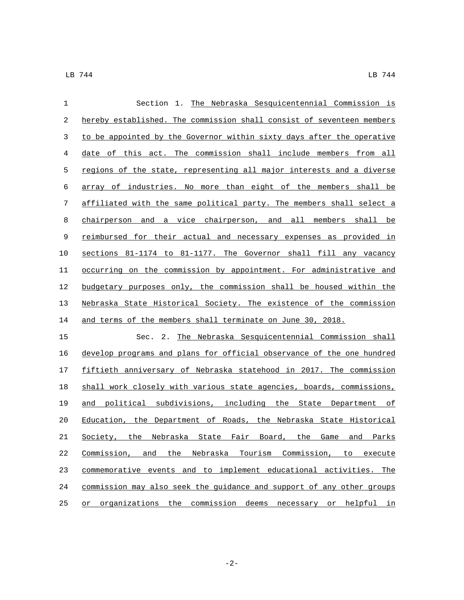| $\mathbf{1}$ | Section 1. The Nebraska Sesquicentennial Commission is                |  |  |  |  |  |
|--------------|-----------------------------------------------------------------------|--|--|--|--|--|
| 2            | hereby established. The commission shall consist of seventeen members |  |  |  |  |  |
| 3            | to be appointed by the Governor within sixty days after the operative |  |  |  |  |  |
| 4            | date of this act. The commission shall include members from all       |  |  |  |  |  |
| 5            | regions of the state, representing all major interests and a diverse  |  |  |  |  |  |
| 6            | array of industries. No more than eight of the members shall be       |  |  |  |  |  |
| 7            | affiliated with the same political party. The members shall select a  |  |  |  |  |  |
| 8            | chairperson and a vice chairperson, and all members shall be          |  |  |  |  |  |
| 9            | reimbursed for their actual and necessary expenses as provided in     |  |  |  |  |  |
| 10           | sections 81-1174 to 81-1177. The Governor shall fill any vacancy      |  |  |  |  |  |
| 11           | occurring on the commission by appointment. For administrative and    |  |  |  |  |  |
| 12           | budgetary purposes only, the commission shall be housed within the    |  |  |  |  |  |
| 13           | Nebraska State Historical Society. The existence of the commission    |  |  |  |  |  |
| 14           | and terms of the members shall terminate on June 30, 2018.            |  |  |  |  |  |
| 15           | Sec. 2. The Nebraska Sesquicentennial Commission shall                |  |  |  |  |  |
| 16           | develop programs and plans for official observance of the one hundred |  |  |  |  |  |
| 17           | fiftieth anniversary of Nebraska statehood in 2017. The commission    |  |  |  |  |  |
| 18           | shall work closely with various state agencies, boards, commissions,  |  |  |  |  |  |
| 19           | and political subdivisions, including the State Department of         |  |  |  |  |  |
| 20           | Education, the Department of Roads, the Nebraska State Historical     |  |  |  |  |  |
| 21           | Society, the Nebraska State Fair Board, the Game and Parks            |  |  |  |  |  |
| 22           | Commission, and the Nebraska Tourism Commission, to execute           |  |  |  |  |  |
| 23           | commemorative events and to implement educational activities.<br>The  |  |  |  |  |  |
| 24           | commission may also seek the guidance and support of any other groups |  |  |  |  |  |
| 25           | organizations the commission deems necessary or helpful<br>or<br>in   |  |  |  |  |  |